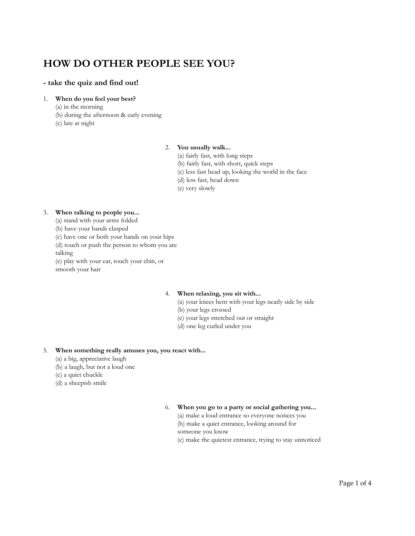## **- take the quiz and find out!**

### 1. **When do you feel your best?**

- (a) in the morning
- (b) during the afternoon & early evening
- (c) late at night

#### 2. **You usually walk...**

- (a) fairly fast, with long steps
- (b) fairly fast, with short, quick steps
- (c) less fast head up, looking the world in the face
- (d) less fast, head down
- (e) very slowly

#### 3. **When talking to people you...**

- (a) stand with your arms folded
- (b) have your hands clasped
- (c) have one or both your hands on your hips
- (d) touch or push the person to whom you are

talking

(e) play with your ear, touch your chin, or smooth your hair

## 4. **When relaxing, you sit with...**

- (a) your knees bent with your legs neatly side by side
- (b) your legs crossed
- (c) your legs stretched out or straight
- (d) one leg curled under you

#### 5. **When something really amuses you, you react with...**

- (a) a big, appreciative laugh
- (b) a laugh, but not a loud one
- (c) a quiet chuckle
- (d) a sheepish smile

## 6. **When you go to a party or social gathering you...**

(a) make a loud entrance so everyone notices you (b) make a quiet entrance, looking around for someone you know

(c) make the quietest entrance, trying to stay unnoticed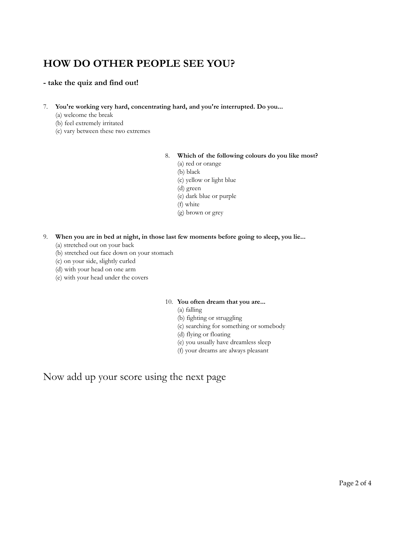## **- take the quiz and find out!**

- 7. **You're working very hard, concentrating hard, and you're interrupted. Do you...**
	- (a) welcome the break
	- (b) feel extremely irritated
	- (c) vary between these two extremes

## 8. **Which of the following colours do you like most?**

- (a) red or orange
- (b) black
- (c) yellow or light blue
- (d) green
- (e) dark blue or purple
- (f) white
- (g) brown or grey
- 9. **When you are in bed at night, in those last few moments before going to sleep, you lie...**
	- (a) stretched out on your back
	- (b) stretched out face down on your stomach
	- (c) on your side, slightly curled
	- (d) with your head on one arm
	- (e) with your head under the covers

## 10. **You often dream that you are...**

- (a) falling
- (b) fighting or struggling
- (c) searching for something or somebody
- (d) flying or floating
- (e) you usually have dreamless sleep
- (f) your dreams are always pleasant

Now add up your score using the next page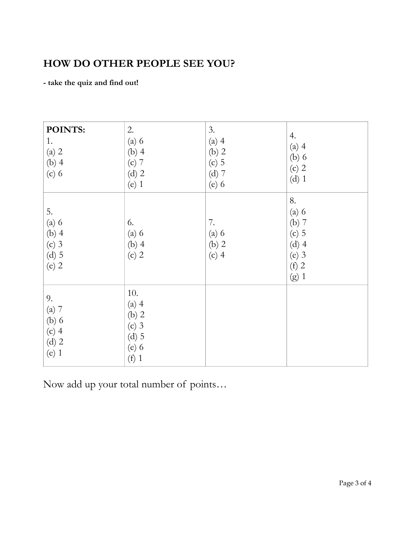**- take the quiz and find out!**

| POINTS:<br>1.<br>(a) 2<br>$(b)$ 4<br>$(c)$ 6              | 2.<br>$(a)$ 6<br>$(b)$ 4<br>$(c)$ 7<br>$(d)$ 2<br>$(e)$ 1           | 3.<br>$(a)$ 4<br>$(b)$ 2<br>$(c)$ 5<br>$(d)$ 7<br>$(e)$ 6 | 4.<br>$(a)$ 4<br>$(b)$ 6<br>$(c)$ 2<br>$(d)$ 1                                |
|-----------------------------------------------------------|---------------------------------------------------------------------|-----------------------------------------------------------|-------------------------------------------------------------------------------|
| 5.<br>$(a)$ 6<br>$(b)$ 4<br>$(c)$ 3<br>$(d)$ 5<br>$(e)$ 2 | 6.<br>$(a)$ 6<br>$(b)$ 4<br>$(c)$ 2                                 | 7.<br>$(a)$ 6<br>$(b)$ 2<br>$(c)$ 4                       | 8.<br>$(a)$ 6<br>(b) 7<br>$(c)$ 5<br>$(d)$ 4<br>$(e)$ 3<br>$(f)$ 2<br>$(g)$ 1 |
| 9.<br>(a) 7<br>$(b)$ 6<br>$(c)$ 4<br>$(d)$ 2<br>$(e)$ 1   | 10.<br>$(a)$ 4<br>(b) 2<br>$(c)$ 3<br>$(d)$ 5<br>$(e)$ 6<br>$(f)$ 1 |                                                           |                                                                               |

Now add up your total number of points…